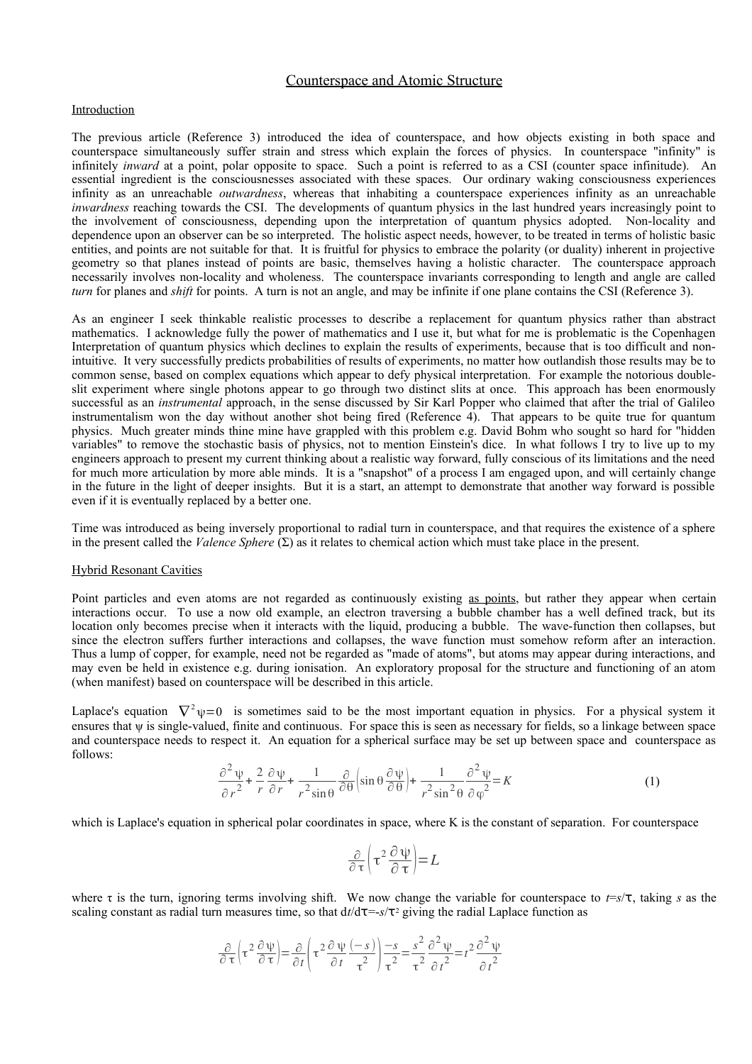## Counterspace and Atomic Structure

### Introduction

The previous article (Reference 3) introduced the idea of counterspace, and how objects existing in both space and counterspace simultaneously suffer strain and stress which explain the forces of physics. In counterspace "infinity" is infinitely *inward* at a point, polar opposite to space. Such a point is referred to as a CSI (counter space infinitude). An essential ingredient is the consciousnesses associated with these spaces. Our ordinary waking consciousness experiences infinity as an unreachable *outwardness*, whereas that inhabiting a counterspace experiences infinity as an unreachable *inwardness* reaching towards the CSI. The developments of quantum physics in the last hundred years increasingly point to the involvement of consciousness, depending upon the interpretation of quantum physics adopted. Non-locality and dependence upon an observer can be so interpreted. The holistic aspect needs, however, to be treated in terms of holistic basic entities, and points are not suitable for that. It is fruitful for physics to embrace the polarity (or duality) inherent in projective geometry so that planes instead of points are basic, themselves having a holistic character. The counterspace approach necessarily involves non-locality and wholeness. The counterspace invariants corresponding to length and angle are called *turn* for planes and *shift* for points. A turn is not an angle, and may be infinite if one plane contains the CSI (Reference 3).

As an engineer I seek thinkable realistic processes to describe a replacement for quantum physics rather than abstract mathematics. I acknowledge fully the power of mathematics and I use it, but what for me is problematic is the Copenhagen Interpretation of quantum physics which declines to explain the results of experiments, because that is too difficult and nonintuitive. It very successfully predicts probabilities of results of experiments, no matter how outlandish those results may be to common sense, based on complex equations which appear to defy physical interpretation. For example the notorious doubleslit experiment where single photons appear to go through two distinct slits at once. This approach has been enormously successful as an *instrumental* approach, in the sense discussed by Sir Karl Popper who claimed that after the trial of Galileo instrumentalism won the day without another shot being fired (Reference 4). That appears to be quite true for quantum physics. Much greater minds thine mine have grappled with this problem e.g. David Bohm who sought so hard for "hidden variables" to remove the stochastic basis of physics, not to mention Einstein's dice. In what follows I try to live up to my engineers approach to present my current thinking about a realistic way forward, fully conscious of its limitations and the need for much more articulation by more able minds. It is a "snapshot" of a process I am engaged upon, and will certainly change in the future in the light of deeper insights. But it is a start, an attempt to demonstrate that another way forward is possible even if it is eventually replaced by a better one.

Time was introduced as being inversely proportional to radial turn in counterspace, and that requires the existence of a sphere in the present called the *Valence Sphere* (Σ) as it relates to chemical action which must take place in the present.

#### Hybrid Resonant Cavities

Point particles and even atoms are not regarded as continuously existing as points, but rather they appear when certain interactions occur. To use a now old example, an electron traversing a bubble chamber has a well defined track, but its location only becomes precise when it interacts with the liquid, producing a bubble. The wave-function then collapses, but since the electron suffers further interactions and collapses, the wave function must somehow reform after an interaction. Thus a lump of copper, for example, need not be regarded as "made of atoms", but atoms may appear during interactions, and may even be held in existence e.g. during ionisation. An exploratory proposal for the structure and functioning of an atom (when manifest) based on counterspace will be described in this article.

Laplace's equation  $\nabla^2 \psi = 0$  is sometimes said to be the most important equation in physics. For a physical system it ensures that ψ is single-valued, finite and continuous. For space this is seen as necessary for fields, so a linkage between space and counterspace needs to respect it. An equation for a spherical surface may be set up between space and counterspace as follows:

$$
\frac{\partial^2 \psi}{\partial r^2} + \frac{2}{r} \frac{\partial \psi}{\partial r} + \frac{1}{r^2 \sin \theta} \frac{\partial}{\partial \theta} \left( \sin \theta \frac{\partial \psi}{\partial \theta} \right) + \frac{1}{r^2 \sin^2 \theta} \frac{\partial^2 \psi}{\partial \phi^2} = K \tag{1}
$$

which is Laplace's equation in spherical polar coordinates in space, where K is the constant of separation. For counterspace

$$
\frac{\partial}{\partial \tau} \left( \tau^2 \frac{\partial \psi}{\partial \tau} \right) = L
$$

where  $\tau$  is the turn, ignoring terms involving shift. We now change the variable for counterspace to  $t=s/\tau$ , taking *s* as the scaling constant as radial turn measures time, so that  $dt/d\tau = -s/\tau^2$  giving the radial Laplace function as

$$
\frac{\partial}{\partial \tau} \left( \tau^2 \frac{\partial \psi}{\partial \tau} \right) = \frac{\partial}{\partial t} \left( \tau^2 \frac{\partial \psi}{\partial t} \frac{(-s)}{\tau^2} \right) \frac{-s}{\tau^2} = \frac{s^2}{\tau^2} \frac{\partial^2 \psi}{\partial t^2} = t^2 \frac{\partial^2 \psi}{\partial t^2}
$$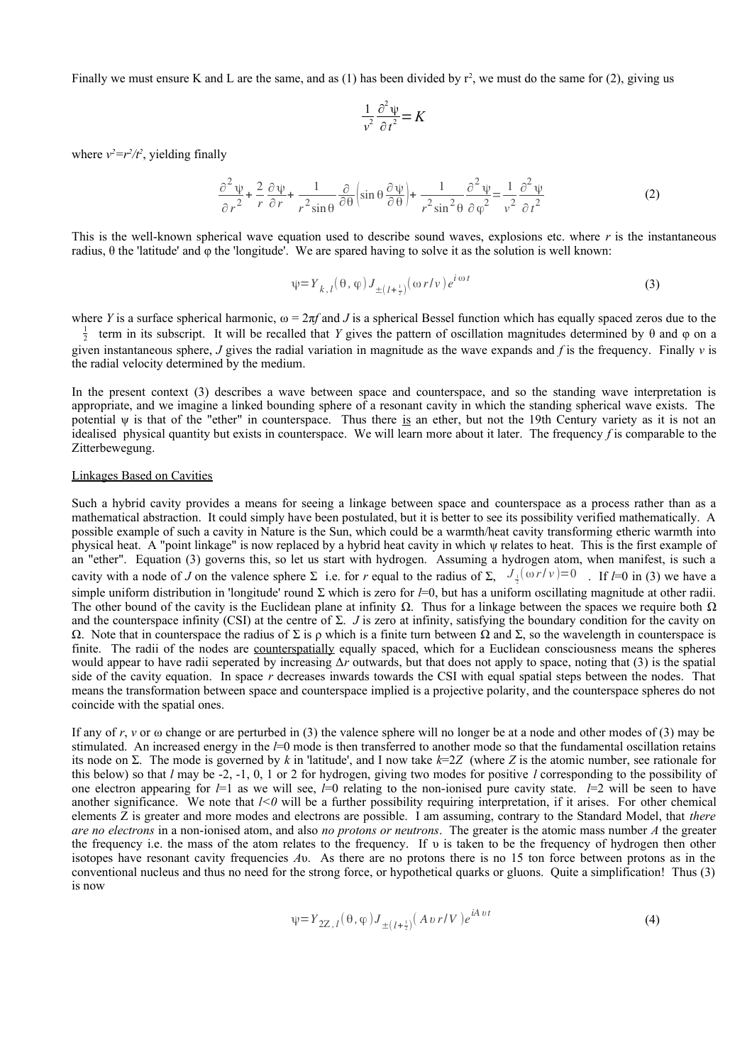Finally we must ensure K and L are the same, and as (1) has been divided by  $r^2$ , we must do the same for (2), giving us

$$
\frac{1}{v^2} \frac{\partial^2 \psi}{\partial t^2} = K
$$

where  $v^2 = r^2/t^2$ , yielding finally

$$
\frac{\partial^2 \psi}{\partial r^2} + \frac{2}{r} \frac{\partial \psi}{\partial r} + \frac{1}{r^2 \sin \theta} \frac{\partial}{\partial \theta} \left( \sin \theta \frac{\partial \psi}{\partial \theta} \right) + \frac{1}{r^2 \sin^2 \theta} \frac{\partial^2 \psi}{\partial \phi^2} = \frac{1}{v^2} \frac{\partial^2 \psi}{\partial t^2}
$$
(2)

This is the well-known spherical wave equation used to describe sound waves, explosions etc. where *r* is the instantaneous radius, θ the 'latitude' and φ the 'longitude'. We are spared having to solve it as the solution is well known:

$$
\psi = Y_{k,l}(\theta, \varphi) J_{\pm (l + \frac{1}{2})}(\omega r/v) e^{i \omega t}
$$
\n(3)

where *Y* is a surface spherical harmonic,  $\omega = 2\pi f$  and *J* is a spherical Bessel function which has equally spaced zeros due to the

 $\frac{1}{2}$  term in its subscript. It will be recalled that *Y* gives the pattern of oscillation magnitudes determined by θ and φ on a given instantaneous sphere, *J* gives the radial variation in magnitude as the wave expands and *f* is the frequency. Finally *v* is the radial velocity determined by the medium.

In the present context (3) describes a wave between space and counterspace, and so the standing wave interpretation is appropriate, and we imagine a linked bounding sphere of a resonant cavity in which the standing spherical wave exists. The potential  $\psi$  is that of the "ether" in counterspace. Thus there is an ether, but not the 19th Century variety as it is not an idealised physical quantity but exists in counterspace. We will learn more about it later. The frequency *f* is comparable to the Zitterbewegung.

### Linkages Based on Cavities

Such a hybrid cavity provides a means for seeing a linkage between space and counterspace as a process rather than as a mathematical abstraction. It could simply have been postulated, but it is better to see its possibility verified mathematically. A possible example of such a cavity in Nature is the Sun, which could be a warmth/heat cavity transforming etheric warmth into physical heat. A "point linkage" is now replaced by a hybrid heat cavity in which ψ relates to heat. This is the first example of an "ether". Equation (3) governs this, so let us start with hydrogen. Assuming a hydrogen atom, when manifest, is such a cavity with a node of *J* on the valence sphere  $\Sigma$  i.e. for *r* equal to the radius of  $\Sigma$ ,  $J_{\frac{1}{2}}(\omega r/v) = 0$ . If *l*=0 in (3) we have a simple uniform distribution in 'longitude' round Σ which is zero for *l*=0, but has a uniform oscillating magnitude at other radii. The other bound of the cavity is the Euclidean plane at infinity  $\Omega$ . Thus for a linkage between the spaces we require both  $\Omega$ and the counterspace infinity (CSI) at the centre of Σ. *J* is zero at infinity, satisfying the boundary condition for the cavity on Ω. Note that in counterspace the radius of Σ is ρ which is a finite turn between Ω and Σ, so the wavelength in counterspace is finite. The radii of the nodes are counterspatially equally spaced, which for a Euclidean consciousness means the spheres would appear to have radii seperated by increasing Δ*r* outwards, but that does not apply to space, noting that (3) is the spatial side of the cavity equation. In space *r* decreases inwards towards the CSI with equal spatial steps between the nodes. That means the transformation between space and counterspace implied is a projective polarity, and the counterspace spheres do not coincide with the spatial ones.

If any of  $r$ ,  $\nu$  or  $\omega$  change or are perturbed in (3) the valence sphere will no longer be at a node and other modes of (3) may be stimulated. An increased energy in the *l*=0 mode is then transferred to another mode so that the fundamental oscillation retains its node on Σ. The mode is governed by *k* in 'latitude', and I now take *k*=2*Z* (where *Z* is the atomic number, see rationale for this below) so that *l* may be -2, -1, 0, 1 or 2 for hydrogen, giving two modes for positive *l* corresponding to the possibility of one electron appearing for  $l=1$  as we will see,  $l=0$  relating to the non-ionised pure cavity state.  $l=2$  will be seen to have another significance. We note that  $1 < 0$  will be a further possibility requiring interpretation, if it arises. For other chemical elements Z is greater and more modes and electrons are possible. I am assuming, contrary to the Standard Model, that *there are no electrons* in a non-ionised atom, and also *no protons or neutrons*. The greater is the atomic mass number *A* the greater the frequency i.e. the mass of the atom relates to the frequency. If υ is taken to be the frequency of hydrogen then other isotopes have resonant cavity frequencies *A*υ. As there are no protons there is no 15 ton force between protons as in the conventional nucleus and thus no need for the strong force, or hypothetical quarks or gluons. Quite a simplification! Thus (3) is now

$$
\psi = Y_{2Z, l}(\theta, \varphi) J_{\pm (l + \frac{1}{2})} (A \, v \, r / V) e^{i A \, v \, t}
$$
\n<sup>(4)</sup>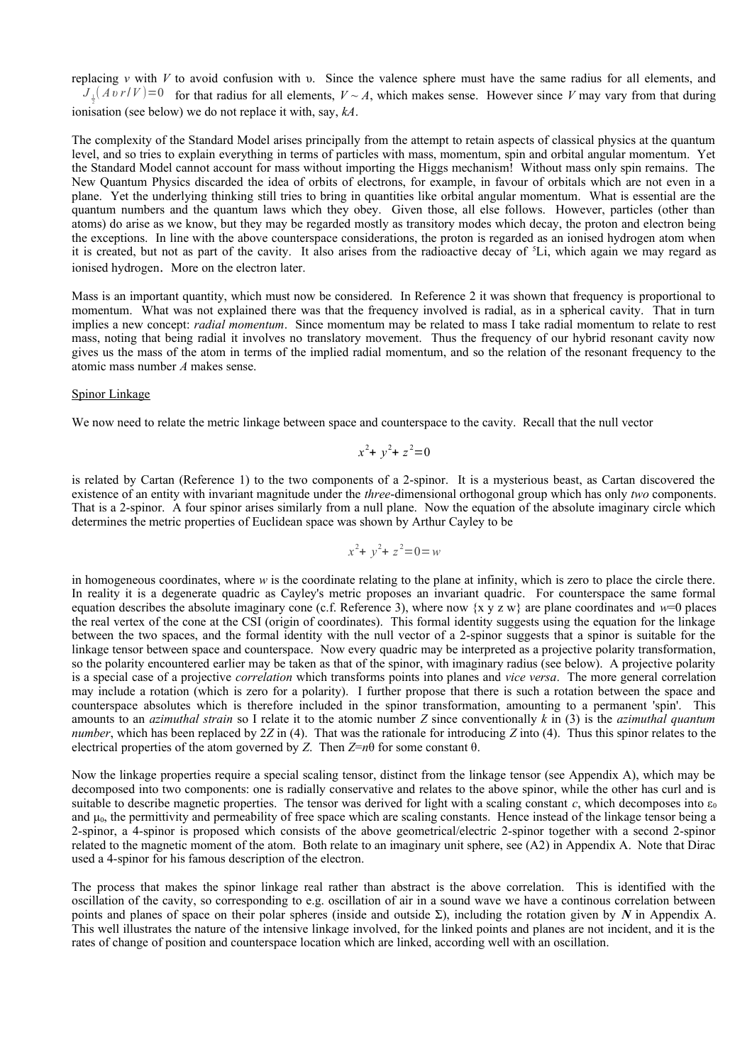replacing *v* with *V* to avoid confusion with υ. Since the valence sphere must have the same radius for all elements, and  $J_{\frac{1}{2}}(Av \, r/V) = 0$  for that radius for all elements,  $V \sim A$ , which makes sense. However since *V* may vary from that during ionisation (see below) we do not replace it with, say, *kA*.

The complexity of the Standard Model arises principally from the attempt to retain aspects of classical physics at the quantum level, and so tries to explain everything in terms of particles with mass, momentum, spin and orbital angular momentum. Yet the Standard Model cannot account for mass without importing the Higgs mechanism! Without mass only spin remains. The New Quantum Physics discarded the idea of orbits of electrons, for example, in favour of orbitals which are not even in a plane. Yet the underlying thinking still tries to bring in quantities like orbital angular momentum. What is essential are the quantum numbers and the quantum laws which they obey. Given those, all else follows. However, particles (other than atoms) do arise as we know, but they may be regarded mostly as transitory modes which decay, the proton and electron being the exceptions. In line with the above counterspace considerations, the proton is regarded as an ionised hydrogen atom when it is created, but not as part of the cavity. It also arises from the radioactive decay of  ${}^5$ Li, which again we may regard as ionised hydrogen. More on the electron later.

Mass is an important quantity, which must now be considered. In Reference 2 it was shown that frequency is proportional to momentum. What was not explained there was that the frequency involved is radial, as in a spherical cavity. That in turn implies a new concept: *radial momentum*. Since momentum may be related to mass I take radial momentum to relate to rest mass, noting that being radial it involves no translatory movement. Thus the frequency of our hybrid resonant cavity now gives us the mass of the atom in terms of the implied radial momentum, and so the relation of the resonant frequency to the atomic mass number *A* makes sense.

### Spinor Linkage

We now need to relate the metric linkage between space and counterspace to the cavity. Recall that the null vector

$$
x^2 + y^2 + z^2 = 0
$$

is related by Cartan (Reference 1) to the two components of a 2-spinor. It is a mysterious beast, as Cartan discovered the existence of an entity with invariant magnitude under the *three*-dimensional orthogonal group which has only *two* components. That is a 2-spinor. A four spinor arises similarly from a null plane. Now the equation of the absolute imaginary circle which determines the metric properties of Euclidean space was shown by Arthur Cayley to be

$$
x^2 + y^2 + z^2 = 0 = w
$$

in homogeneous coordinates, where *w* is the coordinate relating to the plane at infinity, which is zero to place the circle there. In reality it is a degenerate quadric as Cayley's metric proposes an invariant quadric. For counterspace the same formal equation describes the absolute imaginary cone (c.f. Reference 3), where now  $\{x \mid y \in \mathbb{R}\}$  are plane coordinates and  $w=0$  places the real vertex of the cone at the CSI (origin of coordinates). This formal identity suggests using the equation for the linkage between the two spaces, and the formal identity with the null vector of a 2-spinor suggests that a spinor is suitable for the linkage tensor between space and counterspace. Now every quadric may be interpreted as a projective polarity transformation, so the polarity encountered earlier may be taken as that of the spinor, with imaginary radius (see below). A projective polarity is a special case of a projective *correlation* which transforms points into planes and *vice versa*. The more general correlation may include a rotation (which is zero for a polarity). I further propose that there is such a rotation between the space and counterspace absolutes which is therefore included in the spinor transformation, amounting to a permanent 'spin'. This amounts to an *azimuthal strain* so I relate it to the atomic number *Z* since conventionally *k* in (3) is the *azimuthal quantum number*, which has been replaced by 2*Z* in (4). That was the rationale for introducing *Z* into (4). Thus this spinor relates to the electrical properties of the atom governed by *Z*. Then *Z*=*n*θ for some constant θ.

Now the linkage properties require a special scaling tensor, distinct from the linkage tensor (see Appendix A), which may be decomposed into two components: one is radially conservative and relates to the above spinor, while the other has curl and is suitable to describe magnetic properties. The tensor was derived for light with a scaling constant  $c$ , which decomposes into  $\varepsilon_0$ and  $\mu_0$ , the permittivity and permeability of free space which are scaling constants. Hence instead of the linkage tensor being a 2-spinor, a 4-spinor is proposed which consists of the above geometrical/electric 2-spinor together with a second 2-spinor related to the magnetic moment of the atom. Both relate to an imaginary unit sphere, see  $(A2)$  in Appendix A. Note that Dirac used a 4-spinor for his famous description of the electron.

The process that makes the spinor linkage real rather than abstract is the above correlation. This is identified with the oscillation of the cavity, so corresponding to e.g. oscillation of air in a sound wave we have a continous correlation between points and planes of space on their polar spheres (inside and outside Σ), including the rotation given by *N* in Appendix A. This well illustrates the nature of the intensive linkage involved, for the linked points and planes are not incident, and it is the rates of change of position and counterspace location which are linked, according well with an oscillation.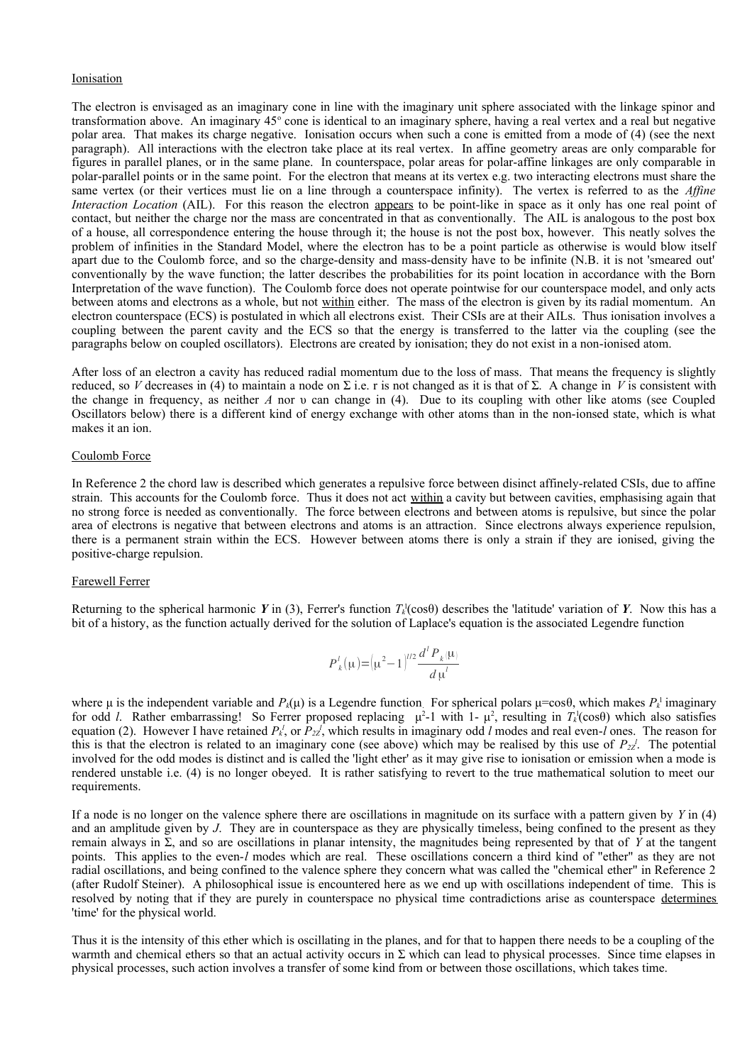### Ionisation

The electron is envisaged as an imaginary cone in line with the imaginary unit sphere associated with the linkage spinor and transformation above. An imaginary 45° cone is identical to an imaginary sphere, having a real vertex and a real but negative polar area. That makes its charge negative. Ionisation occurs when such a cone is emitted from a mode of (4) (see the next paragraph). All interactions with the electron take place at its real vertex. In affine geometry areas are only comparable for figures in parallel planes, or in the same plane. In counterspace, polar areas for polar-affine linkages are only comparable in polar-parallel points or in the same point. For the electron that means at its vertex e.g. two interacting electrons must share the same vertex (or their vertices must lie on a line through a counterspace infinity). The vertex is referred to as the *Affine Interaction Location* (AIL). For this reason the electron appears to be point-like in space as it only has one real point of contact, but neither the charge nor the mass are concentrated in that as conventionally. The AIL is analogous to the post box of a house, all correspondence entering the house through it; the house is not the post box, however. This neatly solves the problem of infinities in the Standard Model, where the electron has to be a point particle as otherwise is would blow itself apart due to the Coulomb force, and so the charge-density and mass-density have to be infinite (N.B. it is not 'smeared out' conventionally by the wave function; the latter describes the probabilities for its point location in accordance with the Born Interpretation of the wave function). The Coulomb force does not operate pointwise for our counterspace model, and only acts between atoms and electrons as a whole, but not within either. The mass of the electron is given by its radial momentum. An electron counterspace (ECS) is postulated in which all electrons exist. Their CSIs are at their AILs. Thus ionisation involves a coupling between the parent cavity and the ECS so that the energy is transferred to the latter via the coupling (see the paragraphs below on coupled oscillators). Electrons are created by ionisation; they do not exist in a non-ionised atom.

After loss of an electron a cavity has reduced radial momentum due to the loss of mass. That means the frequency is slightly reduced, so *V* decreases in (4) to maintain a node on  $\Sigma$  i.e. r is not changed as it is that of  $\Sigma$ . A change in *V* is consistent with the change in frequency, as neither *A* nor υ can change in (4). Due to its coupling with other like atoms (see Coupled Oscillators below) there is a different kind of energy exchange with other atoms than in the non-ionsed state, which is what makes it an ion.

#### Coulomb Force

In Reference 2 the chord law is described which generates a repulsive force between disinct affinely-related CSIs, due to affine strain. This accounts for the Coulomb force. Thus it does not act within a cavity but between cavities, emphasising again that no strong force is needed as conventionally. The force between electrons and between atoms is repulsive, but since the polar area of electrons is negative that between electrons and atoms is an attraction. Since electrons always experience repulsion, there is a permanent strain within the ECS. However between atoms there is only a strain if they are ionised, giving the positive-charge repulsion.

#### Farewell Ferrer

Returning to the spherical harmonic *Y* in (3), Ferrer's function  $T_k^1(\cos\theta)$  describes the 'latitude' variation of *Y*. Now this has a bit of a history, as the function actually derived for the solution of Laplace's equation is the associated Legendre function

$$
P_{k}^{l}(\mu) = (\mu^{2} - 1)^{l/2} \frac{d^{l} P_{k}(\mu)}{d \mu^{l}}
$$

where  $\mu$  is the independent variable and  $P_k(\mu)$  is a Legendre function. For spherical polars  $\mu$ =cos $\theta$ , which makes  $P_k^{\perp}$  imaginary for odd *l*. Rather embarrassing! So Ferrer proposed replacing  $μ²-1$  with 1- $μ²$ , resulting in  $T_k$ <sup>1</sup>(cosθ) which also satisfies equation (2). However I have retained  $P_k^l$ , or  $P_{2Z}^l$ , which results in imaginary odd *l* modes and real even-*l* ones. The reason for this is that the electron is related to an imaginary cone (see above) which may be realised by this use of  $P_{2Z}$ <sup>'</sup>. The potential involved for the odd modes is distinct and is called the 'light ether' as it may give rise to ionisation or emission when a mode is rendered unstable i.e. (4) is no longer obeyed. It is rather satisfying to revert to the true mathematical solution to meet our requirements.

If a node is no longer on the valence sphere there are oscillations in magnitude on its surface with a pattern given by *Y* in (4) and an amplitude given by *J*. They are in counterspace as they are physically timeless, being confined to the present as they remain always in Σ, and so are oscillations in planar intensity, the magnitudes being represented by that of *Y* at the tangent points. This applies to the even-*l* modes which are real. These oscillations concern a third kind of "ether" as they are not radial oscillations, and being confined to the valence sphere they concern what was called the "chemical ether" in Reference 2 (after Rudolf Steiner). A philosophical issue is encountered here as we end up with oscillations independent of time. This is resolved by noting that if they are purely in counterspace no physical time contradictions arise as counterspace determines 'time' for the physical world.

Thus it is the intensity of this ether which is oscillating in the planes, and for that to happen there needs to be a coupling of the warmth and chemical ethers so that an actual activity occurs in  $\Sigma$  which can lead to physical processes. Since time elapses in physical processes, such action involves a transfer of some kind from or between those oscillations, which takes time.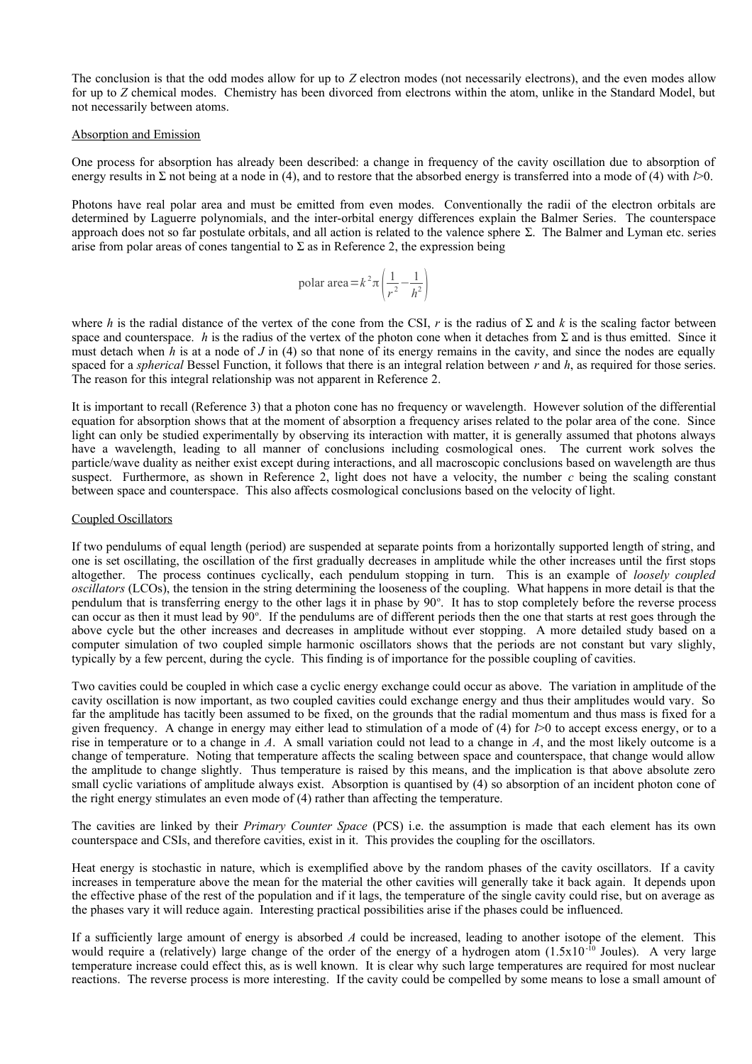The conclusion is that the odd modes allow for up to *Z* electron modes (not necessarily electrons), and the even modes allow for up to *Z* chemical modes. Chemistry has been divorced from electrons within the atom, unlike in the Standard Model, but not necessarily between atoms.

### Absorption and Emission

One process for absorption has already been described: a change in frequency of the cavity oscillation due to absorption of energy results in Σ not being at a node in (4), and to restore that the absorbed energy is transferred into a mode of (4) with *l*>0.

Photons have real polar area and must be emitted from even modes. Conventionally the radii of the electron orbitals are determined by Laguerre polynomials, and the inter-orbital energy differences explain the Balmer Series. The counterspace approach does not so far postulate orbitals, and all action is related to the valence sphere Σ. The Balmer and Lyman etc. series arise from polar areas of cones tangential to  $\Sigma$  as in Reference 2, the expression being

$$
polar area = k^2 \pi \left(\frac{1}{r^2} - \frac{1}{h^2}\right)
$$

where *h* is the radial distance of the vertex of the cone from the CSI, *r* is the radius of  $\Sigma$  and *k* is the scaling factor between space and counterspace. *h* is the radius of the vertex of the photon cone when it detaches from  $\Sigma$  and is thus emitted. Since it must detach when *h* is at a node of *J* in (4) so that none of its energy remains in the cavity, and since the nodes are equally spaced for a *spherical* Bessel Function, it follows that there is an integral relation between *r* and *h*, as required for those series. The reason for this integral relationship was not apparent in Reference 2.

It is important to recall (Reference 3) that a photon cone has no frequency or wavelength. However solution of the differential equation for absorption shows that at the moment of absorption a frequency arises related to the polar area of the cone. Since light can only be studied experimentally by observing its interaction with matter, it is generally assumed that photons always have a wavelength, leading to all manner of conclusions including cosmological ones. The current work solves the particle/wave duality as neither exist except during interactions, and all macroscopic conclusions based on wavelength are thus suspect. Furthermore, as shown in Reference 2, light does not have a velocity, the number *c* being the scaling constant between space and counterspace. This also affects cosmological conclusions based on the velocity of light.

### Coupled Oscillators

If two pendulums of equal length (period) are suspended at separate points from a horizontally supported length of string, and one is set oscillating, the oscillation of the first gradually decreases in amplitude while the other increases until the first stops altogether. The process continues cyclically, each pendulum stopping in turn. This is an example of *loosely coupled oscillators* (LCOs), the tension in the string determining the looseness of the coupling. What happens in more detail is that the pendulum that is transferring energy to the other lags it in phase by  $90^\circ$ . It has to stop completely before the reverse process can occur as then it must lead by 90°. If the pendulums are of different periods then the one that starts at rest goes through the above cycle but the other increases and decreases in amplitude without ever stopping. A more detailed study based on a computer simulation of two coupled simple harmonic oscillators shows that the periods are not constant but vary slighly, typically by a few percent, during the cycle. This finding is of importance for the possible coupling of cavities.

Two cavities could be coupled in which case a cyclic energy exchange could occur as above. The variation in amplitude of the cavity oscillation is now important, as two coupled cavities could exchange energy and thus their amplitudes would vary. So far the amplitude has tacitly been assumed to be fixed, on the grounds that the radial momentum and thus mass is fixed for a given frequency. A change in energy may either lead to stimulation of a mode of (4) for *l*>0 to accept excess energy, or to a rise in temperature or to a change in *A*. A small variation could not lead to a change in *A*, and the most likely outcome is a change of temperature. Noting that temperature affects the scaling between space and counterspace, that change would allow the amplitude to change slightly. Thus temperature is raised by this means, and the implication is that above absolute zero small cyclic variations of amplitude always exist. Absorption is quantised by (4) so absorption of an incident photon cone of the right energy stimulates an even mode of (4) rather than affecting the temperature.

The cavities are linked by their *Primary Counter Space* (PCS) i.e. the assumption is made that each element has its own counterspace and CSIs, and therefore cavities, exist in it. This provides the coupling for the oscillators.

Heat energy is stochastic in nature, which is exemplified above by the random phases of the cavity oscillators. If a cavity increases in temperature above the mean for the material the other cavities will generally take it back again. It depends upon the effective phase of the rest of the population and if it lags, the temperature of the single cavity could rise, but on average as the phases vary it will reduce again. Interesting practical possibilities arise if the phases could be influenced.

If a sufficiently large amount of energy is absorbed *A* could be increased, leading to another isotope of the element. This would require a (relatively) large change of the order of the energy of a hydrogen atom  $(1.5x10^{-10}$  Joules). A very large temperature increase could effect this, as is well known. It is clear why such large temperatures are required for most nuclear reactions. The reverse process is more interesting. If the cavity could be compelled by some means to lose a small amount of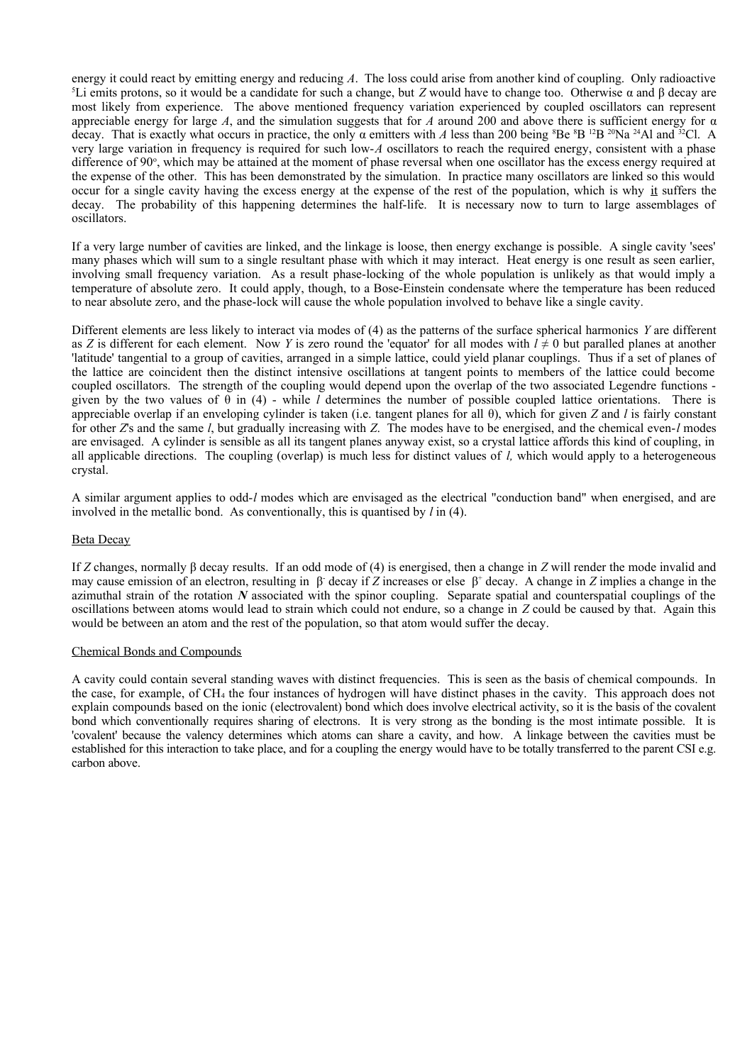energy it could react by emitting energy and reducing *A*. The loss could arise from another kind of coupling. Only radioactive <sup>5</sup>Li emits protons, so it would be a candidate for such a change, but *Z* would have to change too. Otherwise α and β decay are most likely from experience. The above mentioned frequency variation experienced by coupled oscillators can represent appreciable energy for large *A*, and the simulation suggests that for *A* around 200 and above there is sufficient energy for α decay. That is exactly what occurs in practice, the only α emitters with *A* less than 200 being <sup>8</sup>Be <sup>8</sup>B <sup>12</sup>B <sup>20</sup>Na <sup>24</sup>Al and <sup>32</sup>Cl. A very large variation in frequency is required for such low-*A* oscillators to reach the required energy, consistent with a phase difference of 90°, which may be attained at the moment of phase reversal when one oscillator has the excess energy required at the expense of the other. This has been demonstrated by the simulation. In practice many oscillators are linked so this would occur for a single cavity having the excess energy at the expense of the rest of the population, which is why it suffers the decay. The probability of this happening determines the half-life. It is necessary now to turn to large assemblages of oscillators.

If a very large number of cavities are linked, and the linkage is loose, then energy exchange is possible. A single cavity 'sees' many phases which will sum to a single resultant phase with which it may interact. Heat energy is one result as seen earlier, involving small frequency variation. As a result phase-locking of the whole population is unlikely as that would imply a temperature of absolute zero. It could apply, though, to a Bose-Einstein condensate where the temperature has been reduced to near absolute zero, and the phase-lock will cause the whole population involved to behave like a single cavity.

Different elements are less likely to interact via modes of (4) as the patterns of the surface spherical harmonics *Y* are different as *Z* is different for each element. Now *Y* is zero round the 'equator' for all modes with  $l \neq 0$  but paralled planes at another 'latitude' tangential to a group of cavities, arranged in a simple lattice, could yield planar couplings. Thus if a set of planes of the lattice are coincident then the distinct intensive oscillations at tangent points to members of the lattice could become coupled oscillators. The strength of the coupling would depend upon the overlap of the two associated Legendre functions given by the two values of θ in (4) - while *l* determines the number of possible coupled lattice orientations. There is appreciable overlap if an enveloping cylinder is taken (i.e. tangent planes for all θ), which for given *Z* and *l* is fairly constant for other *Z*'s and the same *l*, but gradually increasing with *Z*. The modes have to be energised, and the chemical even-*l* modes are envisaged. A cylinder is sensible as all its tangent planes anyway exist, so a crystal lattice affords this kind of coupling, in all applicable directions. The coupling (overlap) is much less for distinct values of *l,* which would apply to a heterogeneous crystal.

A similar argument applies to odd-*l* modes which are envisaged as the electrical "conduction band" when energised, and are involved in the metallic bond. As conventionally, this is quantised by *l* in (4).

### Beta Decay

If *Z* changes, normally β decay results. If an odd mode of (4) is energised, then a change in *Z* will render the mode invalid and may cause emission of an electron, resulting in β decay if *Z* increases or else β<sup>+</sup> decay. A change in *Z* implies a change in the azimuthal strain of the rotation *N* associated with the spinor coupling. Separate spatial and counterspatial couplings of the oscillations between atoms would lead to strain which could not endure, so a change in *Z* could be caused by that. Again this would be between an atom and the rest of the population, so that atom would suffer the decay.

### Chemical Bonds and Compounds

A cavity could contain several standing waves with distinct frequencies. This is seen as the basis of chemical compounds. In the case, for example, of CH4 the four instances of hydrogen will have distinct phases in the cavity. This approach does not explain compounds based on the ionic (electrovalent) bond which does involve electrical activity, so it is the basis of the covalent bond which conventionally requires sharing of electrons. It is very strong as the bonding is the most intimate possible. It is 'covalent' because the valency determines which atoms can share a cavity, and how. A linkage between the cavities must be established for this interaction to take place, and for a coupling the energy would have to be totally transferred to the parent CSI e.g. carbon above.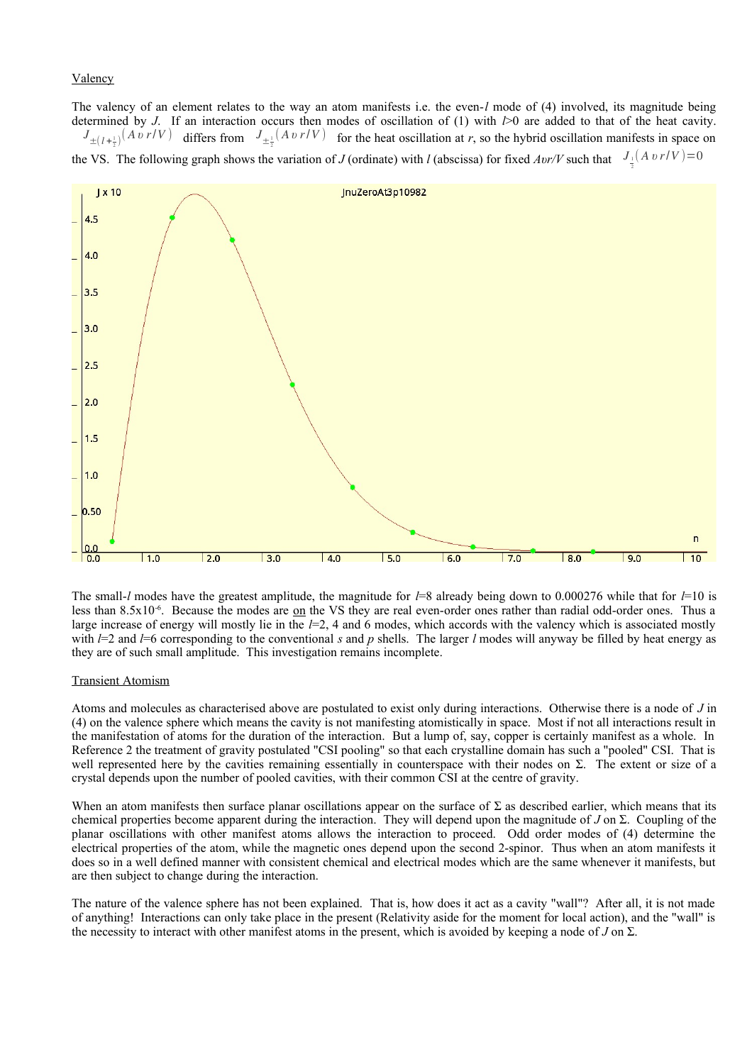### Valency

The valency of an element relates to the way an atom manifests i.e. the even-*l* mode of (4) involved, its magnitude being determined by *J*. If an interaction occurs then modes of oscillation of (1) with *l*>0 are added to that of the heat cavity.  $J_{\pm (l+\frac{1}{2})}(Av \, r/V)$  differs from  $J_{\pm \frac{1}{2}}(Av \, r/V)$  for the heat oscillation at *r*, so the hybrid oscillation manifests in space on the VS. The following graph shows the variation of *J* (ordinate) with *l* (abscissa) for fixed *Avr*/*V* such that  $J_{\frac{1}{2}}(A \nu r/V) = 0$ 



The small-*l* modes have the greatest amplitude, the magnitude for *l*=8 already being down to 0.000276 while that for *l*=10 is less than 8.5x10<sup>-6</sup>. Because the modes are <u>on</u> the VS they are real even-order ones rather than radial odd-order ones. Thus a large increase of energy will mostly lie in the *l*=2, 4 and 6 modes, which accords with the valency which is associated mostly with  $l=2$  and  $l=6$  corresponding to the conventional *s* and *p* shells. The larger *l* modes will anyway be filled by heat energy as they are of such small amplitude. This investigation remains incomplete.

### Transient Atomism

Atoms and molecules as characterised above are postulated to exist only during interactions. Otherwise there is a node of *J* in (4) on the valence sphere which means the cavity is not manifesting atomistically in space. Most if not all interactions result in the manifestation of atoms for the duration of the interaction. But a lump of, say, copper is certainly manifest as a whole. In Reference 2 the treatment of gravity postulated "CSI pooling" so that each crystalline domain has such a "pooled" CSI. That is well represented here by the cavities remaining essentially in counterspace with their nodes on  $\Sigma$ . The extent or size of a crystal depends upon the number of pooled cavities, with their common CSI at the centre of gravity.

When an atom manifests then surface planar oscillations appear on the surface of  $\Sigma$  as described earlier, which means that its chemical properties become apparent during the interaction. They will depend upon the magnitude of *J* on Σ. Coupling of the planar oscillations with other manifest atoms allows the interaction to proceed. Odd order modes of (4) determine the electrical properties of the atom, while the magnetic ones depend upon the second 2-spinor. Thus when an atom manifests it does so in a well defined manner with consistent chemical and electrical modes which are the same whenever it manifests, but are then subject to change during the interaction.

The nature of the valence sphere has not been explained. That is, how does it act as a cavity "wall"? After all, it is not made of anything! Interactions can only take place in the present (Relativity aside for the moment for local action), and the "wall" is the necessity to interact with other manifest atoms in the present, which is avoided by keeping a node of *J* on Σ.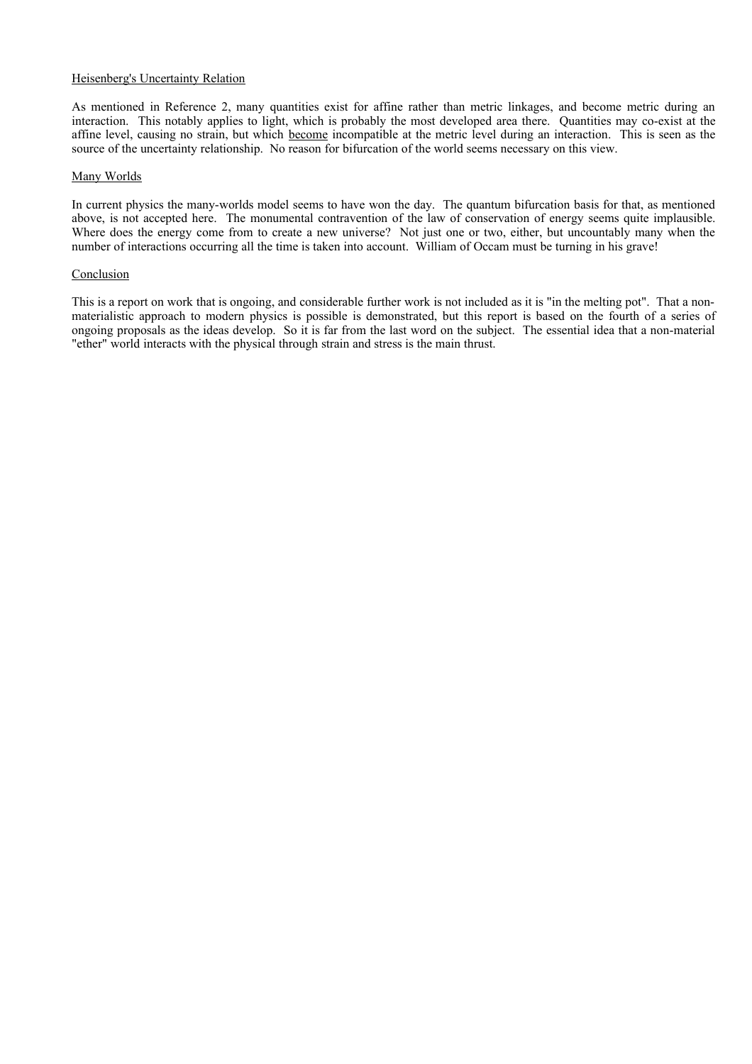### Heisenberg's Uncertainty Relation

As mentioned in Reference 2, many quantities exist for affine rather than metric linkages, and become metric during an interaction. This notably applies to light, which is probably the most developed area there. Quantities may co-exist at the affine level, causing no strain, but which become incompatible at the metric level during an interaction. This is seen as the source of the uncertainty relationship. No reason for bifurcation of the world seems necessary on this view.

### Many Worlds

In current physics the many-worlds model seems to have won the day. The quantum bifurcation basis for that, as mentioned above, is not accepted here. The monumental contravention of the law of conservation of energy seems quite implausible. Where does the energy come from to create a new universe? Not just one or two, either, but uncountably many when the number of interactions occurring all the time is taken into account. William of Occam must be turning in his grave!

### **Conclusion**

This is a report on work that is ongoing, and considerable further work is not included as it is "in the melting pot". That a nonmaterialistic approach to modern physics is possible is demonstrated, but this report is based on the fourth of a series of ongoing proposals as the ideas develop. So it is far from the last word on the subject. The essential idea that a non-material "ether" world interacts with the physical through strain and stress is the main thrust.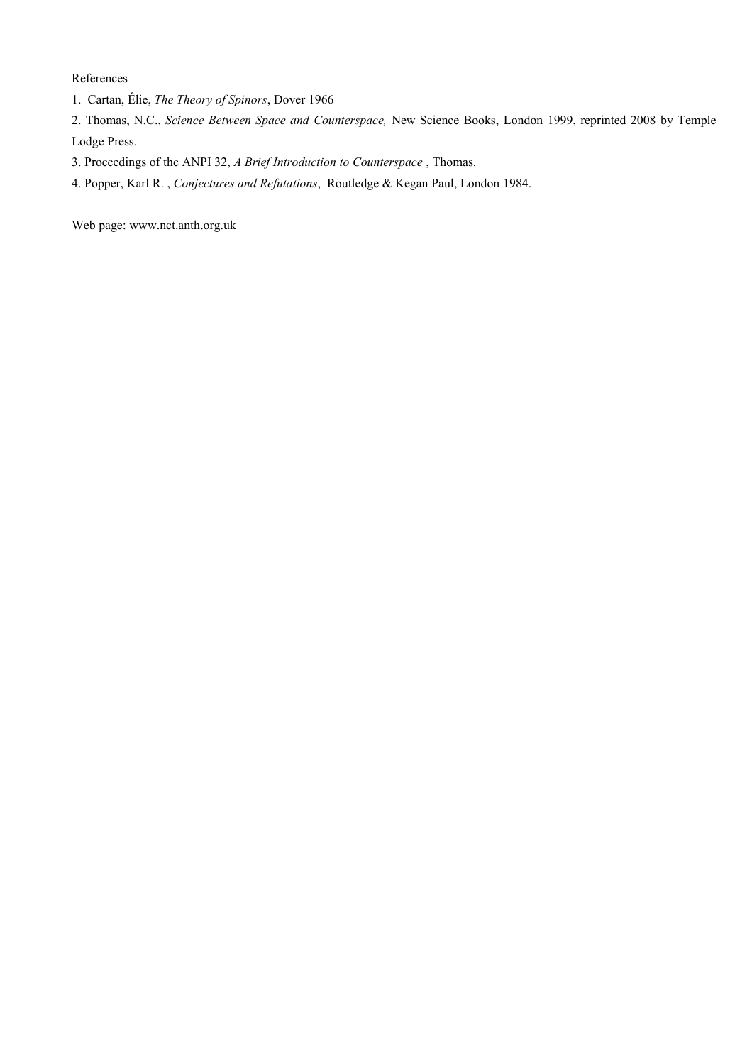**References** 

- 1. Cartan, Élie, *The Theory of Spinors*, Dover 1966
- 2. Thomas, N.C., *Science Between Space and Counterspace,* New Science Books, London 1999, reprinted 2008 by Temple Lodge Press.
- 3. Proceedings of the ANPI 32, *A Brief Introduction to Counterspace* , Thomas.
- 4. Popper, Karl R. , *Conjectures and Refutations*, Routledge & Kegan Paul, London 1984.

Web page: www.nct.anth.org.uk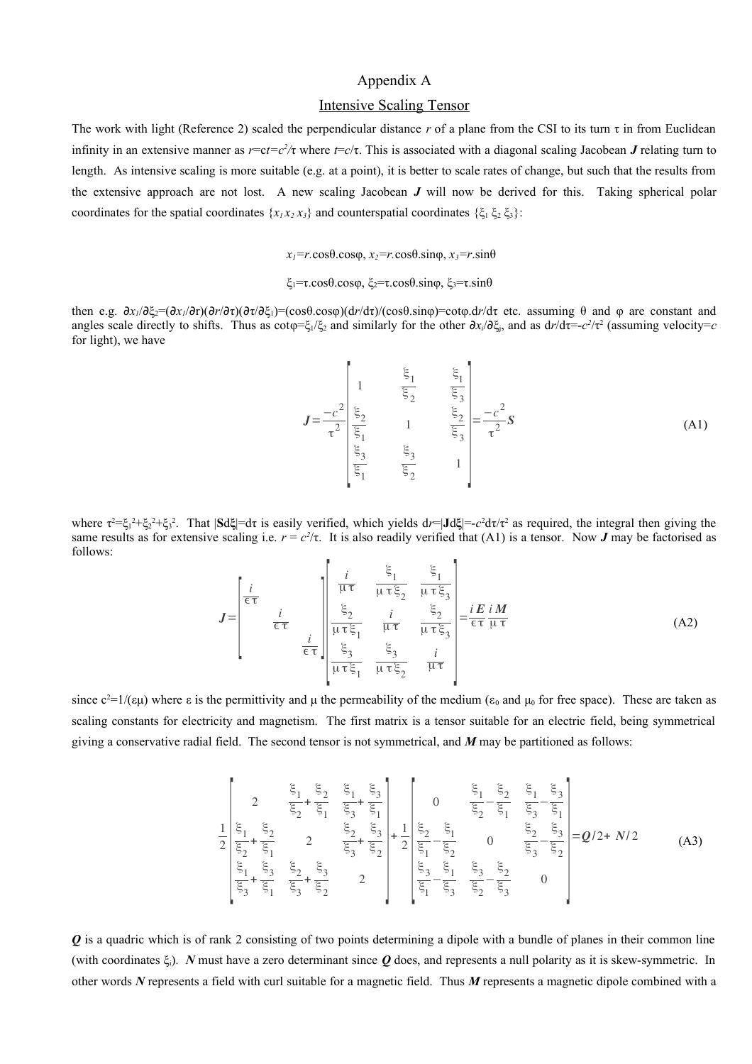# Appendix A

## Intensive Scaling Tensor

The work with light (Reference 2) scaled the perpendicular distance r of a plane from the CSI to its turn  $\tau$  in from Euclidean infinity in an extensive manner as  $r = ct = c^2/\tau$  where  $t = c/\tau$ . This is associated with a diagonal scaling Jacobean *J* relating turn to length. As intensive scaling is more suitable (e.g. at a point), it is better to scale rates of change, but such that the results from the extensive approach are not lost. A new scaling Jacobean *J* will now be derived for this. Taking spherical polar coordinates for the spatial coordinates  $\{x_1x_2x_3\}$  and counterspatial coordinates  $\{\xi_1 \xi_2 \xi_3\}$ :

*x1=r.*cosθ.cosφ, *x2=r.*cosθ.sinφ, *x3=r*.sinθ

ξ<sub>1</sub>=τ.cosθ.cosφ, ξ<sub>2</sub>=τ.cosθ.sinφ, ξ<sub>3</sub>=τ.sinθ

then e.g. ∂*x1*/∂ξ2=(∂*x1*/∂r)(∂*r*/∂τ)(∂τ/∂ξ1)=(cosθ.cosφ)(d*r*/dτ)/(cosθ.sinφ)=cotφ.d*r*/dτ etc. assuming θ and φ are constant and angles scale directly to shifts. Thus as  $cot\varphi = \xi_1/\xi_2$  and similarly for the other  $\partial x_i/\partial \xi_i$ , and as  $dr/d\tau = -c^2/\tau^2$  (assuming velocity=*c* for light), we have

$$
J = \frac{-c^2}{\tau^2} \begin{bmatrix} \frac{\xi_1}{\xi_2} & \frac{\xi_1}{\xi_3} \\ \frac{\xi_2}{\xi_1} & 1 & \frac{\xi_2}{\xi_3} \\ \frac{\xi_3}{\xi_1} & \frac{\xi_3}{\xi_2} & 1 \end{bmatrix} = \frac{-c^2}{\tau^2} S
$$
(A1)

where τ<sup>2</sup>=ξ<sub>1</sub><sup>2</sup>+ξ<sub>2</sub><sup>2</sup>+ξ<sub>2</sub><sup>2</sup>. That |**S**dξ|=dτ is easily verified, which yields dr=|**J**dξ|=-*c*<sup>2</sup>dτ/τ<sup>2</sup> as required, the integral then giving the same results as for extensive scaling i.e.  $r = c^2/\tau$ . It is also readily verified that (A1) is a tensor. Now *J* may be factorised as follows:

$$
J = \begin{bmatrix} \frac{i}{\epsilon \tau} & \frac{\xi_1}{\mu \tau} & \frac{\xi_1}{\mu \tau \xi_2} & \frac{\xi_1}{\mu \tau \xi_3} \\ \frac{\xi_2}{\epsilon \tau} & \frac{i}{\mu \tau \xi_1} & \frac{\xi_2}{\mu \tau} & \frac{\xi_2}{\mu \tau \xi_3} \\ \frac{\xi_3}{\mu \tau \xi_1} & \frac{\xi_3}{\mu \tau \xi_2} & \frac{i}{\mu \tau} \end{bmatrix} = \frac{i E}{\epsilon \tau} \frac{i M}{\mu \tau}
$$
(A2)

since  $c^2=1/(εμ)$  where  $ε$  is the permittivity and  $μ$  the permeability of the medium ( $ε_0$  and  $μ_0$  for free space). These are taken as scaling constants for electricity and magnetism. The first matrix is a tensor suitable for an electric field, being symmetrical giving a conservative radial field. The second tensor is not symmetrical, and *M* may be partitioned as follows:

$$
\frac{1}{2} \begin{bmatrix} 2 & \frac{\xi_1}{\xi_2} + \frac{\xi_2}{\xi_1} & \frac{\xi_1}{\xi_3} + \frac{\xi_3}{\xi_1} \\ \frac{\xi_1}{\xi_2} + \frac{\xi_2}{\xi_1} & 2 & \frac{\xi_2}{\xi_3} + \frac{\xi_3}{\xi_2} \\ \frac{\xi_1}{\xi_3} + \frac{\xi_3}{\xi_1} & 2 & \frac{\xi_2}{\xi_3} + \frac{\xi_3}{\xi_2} \\ \frac{\xi_1}{\xi_3} + \frac{\xi_3}{\xi_1} & \frac{\xi_2}{\xi_3} + \frac{\xi_3}{\xi_2} & 2 \end{bmatrix} + \frac{1}{2} \begin{bmatrix} 0 & \frac{\xi_1}{\xi_2} - \frac{\xi_2}{\xi_1} & \frac{\xi_1}{\xi_2} - \frac{\xi_3}{\xi_1} \\ \frac{\xi_2}{\xi_1} - \frac{\xi_1}{\xi_2} & 0 & \frac{\xi_2}{\xi_3} - \frac{\xi_3}{\xi_2} \\ \frac{\xi_3}{\xi_1} - \frac{\xi_1}{\xi_3} & \frac{\xi_2}{\xi_2} - \frac{\xi_2}{\xi_3} & 0 \end{bmatrix} = Q/2 + N/2
$$
(A3)

*Q* is a quadric which is of rank 2 consisting of two points determining a dipole with a bundle of planes in their common line (with coordinates ξi). *N* must have a zero determinant since *Q* does, and represents a null polarity as it is skew-symmetric. In other words *N* represents a field with curl suitable for a magnetic field. Thus *M* represents a magnetic dipole combined with a